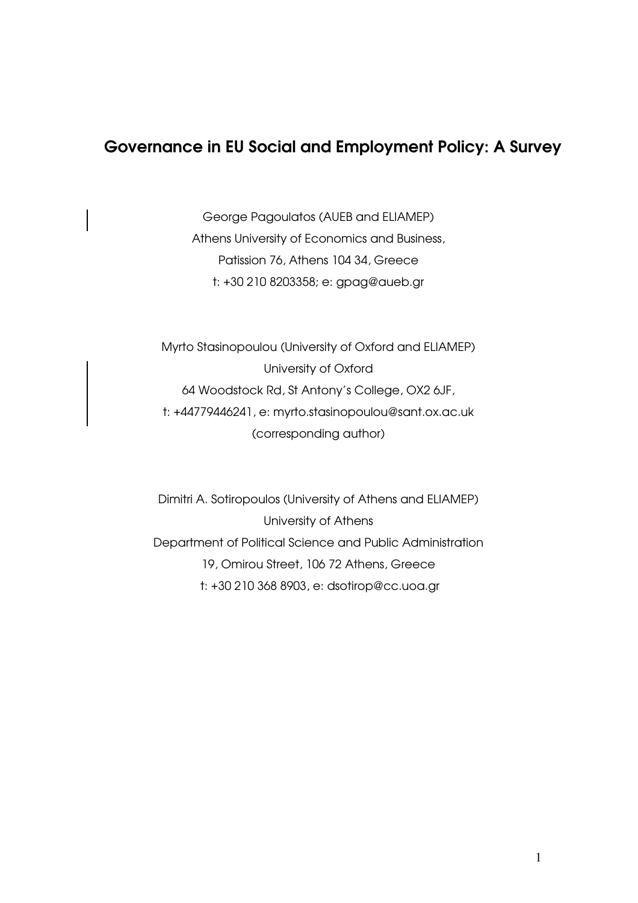# Governance in EU Social and Employment Policy: A Survey

George Pagoulatos (AUEB and ELIAMEP) Athens University of Economics and Business, Patission 76, Athens 104 34, Greece t: +30 210 8203358; e: gpag@aueb.gr

Myrto Stasinopoulou (University of Oxford and ELIAMEP) University of Oxford 64 Woodstock Rd, St Antony's College, OX2 6JF, t: +44779446241, e: myrto.stasinopoulou@sant.ox.ac.uk (corresponding author)

Dimitri A. Sotiropoulos (University of Athens and ELIAMEP) University of Athens Department of Political Science and Public Administration 19, Omirou Street, 106 72 Athens, Greece t: +30 210 368 8903, e: dsotirop@cc.uoa.gr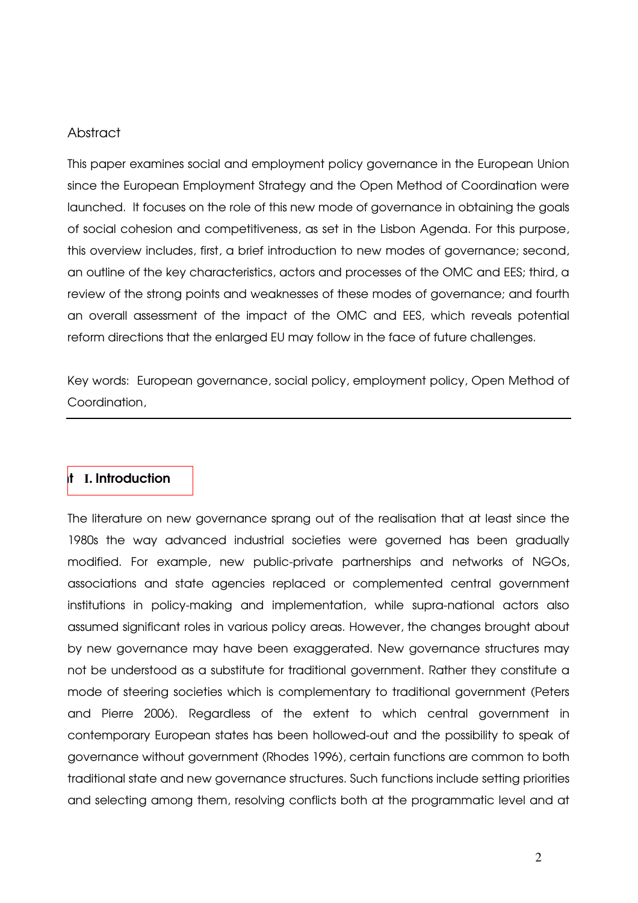## **Abstract**

This paper examines social and employment policy governance in the European Union since the European Employment Strategy and the Open Method of Coordination were launched. It focuses on the role of this new mode of governance in obtaining the goals of social cohesion and competitiveness, as set in the Lisbon Agenda. For this purpose, this overview includes, first, a brief introduction to new modes of governance; second, an outline of the key characteristics, actors and processes of the OMC and EES; third, a review of the strong points and weaknesses of these modes of governance; and fourth an overall assessment of the impact of the OMC and EES, which reveals potential reform directions that the enlarged EU may follow in the face of future challenges.

Key words: European governance, social policy, employment policy, Open Method of Coordination,

#### l I. Introduction

The literature on new governance sprang out of the realisation that at least since the 1980s the way advanced industrial societies were governed has been gradually modified. For example, new public-private partnerships and networks of NGOs, associations and state agencies replaced or complemented central government institutions in policy-making and implementation, while supra-national actors also assumed significant roles in various policy areas. However, the changes brought about by new governance may have been exaggerated. New governance structures may not be understood as a substitute for traditional government. Rather they constitute a mode of steering societies which is complementary to traditional government (Peters and Pierre 2006). Regardless of the extent to which central government in contemporary European states has been hollowed-out and the possibility to speak of governance without government (Rhodes 1996), certain functions are common to both traditional state and new governance structures. Such functions include setting priorities and selecting among them, resolving conflicts both at the programmatic level and at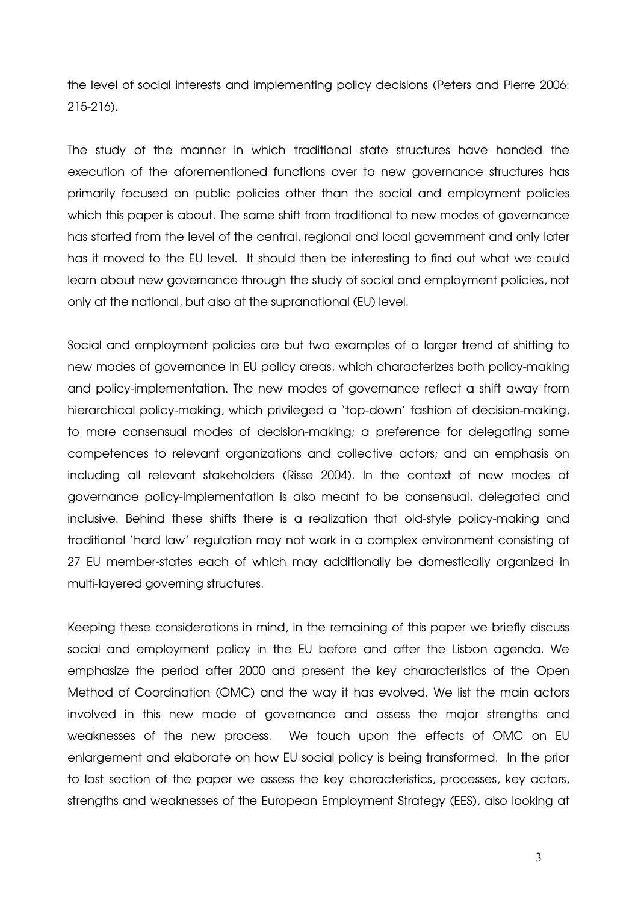the level of social interests and implementing policy decisions (Peters and Pierre 2006: 215-216).

The study of the manner in which traditional state structures have handed the execution of the aforementioned functions over to new governance structures has primarily focused on public policies other than the social and employment policies which this paper is about. The same shift from traditional to new modes of governance has started from the level of the central, regional and local government and only later has it moved to the EU level. It should then be interesting to find out what we could learn about new governance through the study of social and employment policies, not only at the national, but also at the supranational (EU) level.

Social and employment policies are but two examples of a larger trend of shifting to new modes of governance in EU policy areas, which characterizes both policy-making and policy-implementation. The new modes of governance reflect a shift away from hierarchical policy-making, which privileged a 'top-down' fashion of decision-making, to more consensual modes of decision-making; a preference for delegating some competences to relevant organizations and collective actors; and an emphasis on including all relevant stakeholders (Risse 2004). In the context of new modes of governance policy-implementation is also meant to be consensual, delegated and inclusive. Behind these shifts there is a realization that old-style policy-making and traditional 'hard law' regulation may not work in a complex environment consisting of 27 EU member-states each of which may additionally be domestically organized in multi-layered governing structures.

Keeping these considerations in mind, in the remaining of this paper we briefly discuss social and employment policy in the EU before and after the Lisbon agenda. We emphasize the period after 2000 and present the key characteristics of the Open Method of Coordination (OMC) and the way it has evolved. We list the main actors involved in this new mode of governance and assess the major strengths and weaknesses of the new process. We touch upon the effects of OMC on EU enlargement and elaborate on how EU social policy is being transformed. In the prior to last section of the paper we assess the key characteristics, processes, key actors, strengths and weaknesses of the European Employment Strategy (EES), also looking at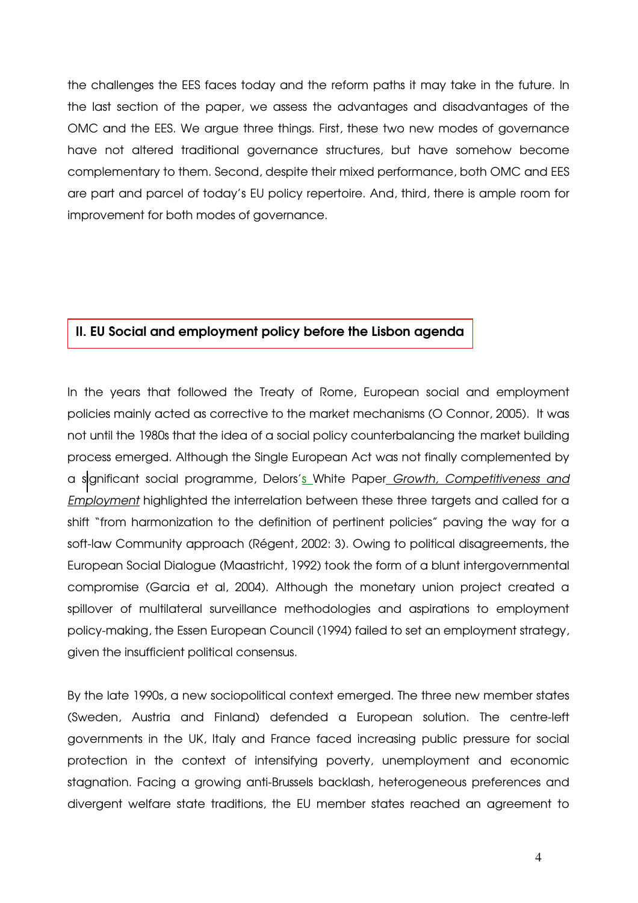the challenges the EES faces today and the reform paths it may take in the future. In the last section of the paper, we assess the advantages and disadvantages of the OMC and the EES. We argue three things. First, these two new modes of governance have not altered traditional governance structures, but have somehow become complementary to them. Second, despite their mixed performance, both OMC and EES are part and parcel of today's EU policy repertoire. And, third, there is ample room for improvement for both modes of governance.

#### II. EU Social and employment policy before the Lisbon agenda

In the years that followed the Treaty of Rome, European social and employment policies mainly acted as corrective to the market mechanisms (O Connor, 2005). It was not until the 1980s that the idea of a social policy counterbalancing the market building process emerged. Although the Single European Act was not finally complemented by a significant social programme, Delors's White Paper Growth, Competitiveness and Employment highlighted the interrelation between these three targets and called for a shift "from harmonization to the definition of pertinent policies" paving the way for a soft-law Community approach (Régent, 2002: 3). Owing to political disagreements, the European Social Dialogue (Maastricht, 1992) took the form of a blunt intergovernmental compromise (Garcia et al, 2004). Although the monetary union project created a spillover of multilateral surveillance methodologies and aspirations to employment policy-making, the Essen European Council (1994) failed to set an employment strategy, given the insufficient political consensus.

By the late 1990s, a new sociopolitical context emerged. The three new member states (Sweden, Austria and Finland) defended a European solution. The centre-left governments in the UK, Italy and France faced increasing public pressure for social protection in the context of intensifying poverty, unemployment and economic stagnation. Facing a growing anti-Brussels backlash, heterogeneous preferences and divergent welfare state traditions, the EU member states reached an agreement to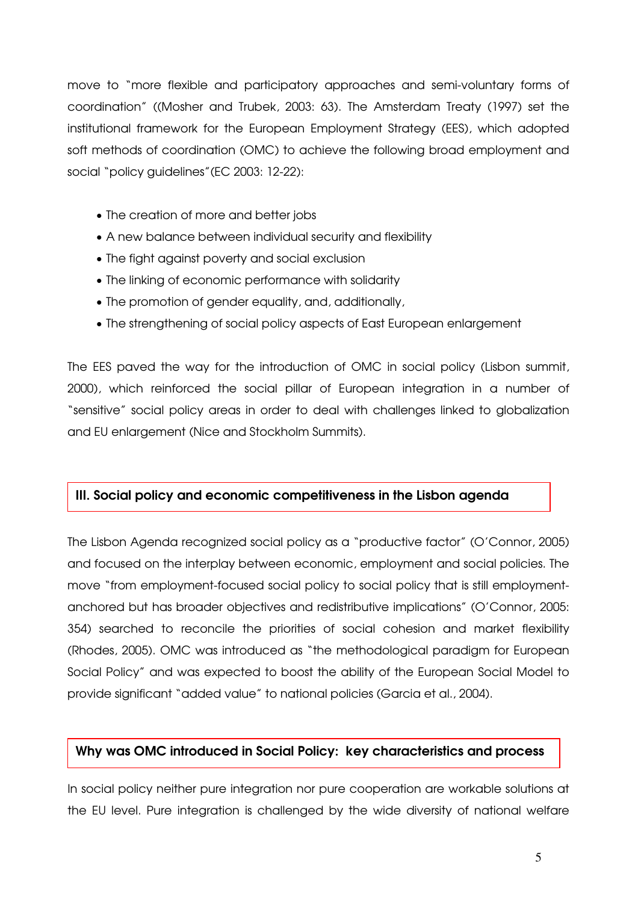move to "more flexible and participatory approaches and semi-voluntary forms of coordination" ((Mosher and Trubek, 2003: 63). The Amsterdam Treaty (1997) set the institutional framework for the European Employment Strategy (EES), which adopted soft methods of coordination (OMC) to achieve the following broad employment and social "policy guidelines"(EC 2003: 12-22):

- The creation of more and better jobs
- A new balance between individual security and flexibility
- The fight against poverty and social exclusion
- The linking of economic performance with solidarity
- The promotion of gender equality, and, additionally,
- The strengthening of social policy aspects of East European enlargement

The EES paved the way for the introduction of OMC in social policy (Lisbon summit, 2000), which reinforced the social pillar of European integration in a number of "sensitive" social policy areas in order to deal with challenges linked to globalization and EU enlargement (Nice and Stockholm Summits).

# III. Social policy and economic competitiveness in the Lisbon agenda

The Lisbon Agenda recognized social policy as a "productive factor" (O'Connor, 2005) and focused on the interplay between economic, employment and social policies. The move "from employment-focused social policy to social policy that is still employmentanchored but has broader objectives and redistributive implications" (O'Connor, 2005: 354) searched to reconcile the priorities of social cohesion and market flexibility (Rhodes, 2005). OMC was introduced as "the methodological paradigm for European Social Policy" and was expected to boost the ability of the European Social Model to provide significant "added value" to national policies (Garcia et al., 2004).

# Why was OMC introduced in Social Policy: key characteristics and process

In social policy neither pure integration nor pure cooperation are workable solutions at the EU level. Pure integration is challenged by the wide diversity of national welfare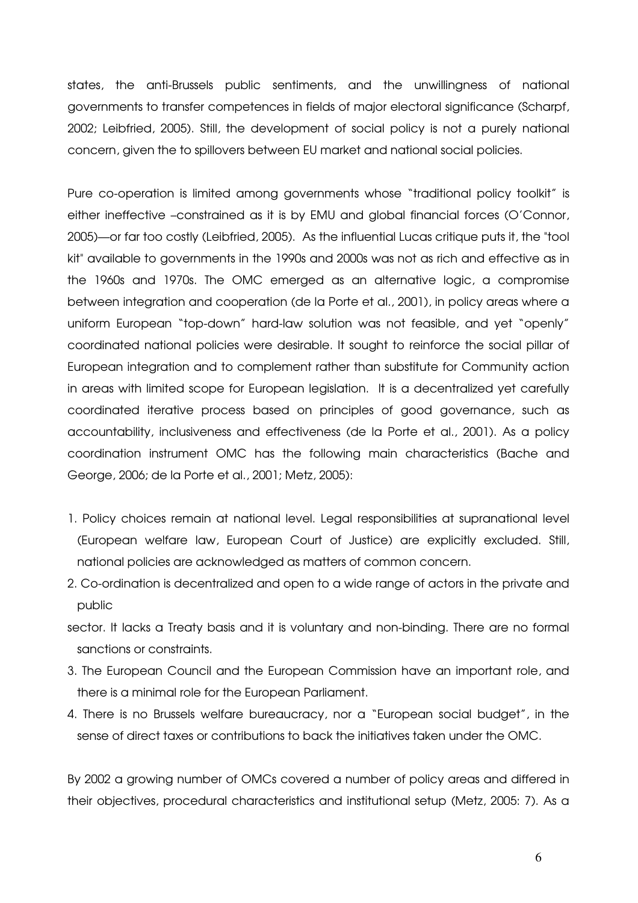states, the anti-Brussels public sentiments, and the unwillingness of national governments to transfer competences in fields of major electoral significance (Scharpf, 2002; Leibfried, 2005). Still, the development of social policy is not a purely national concern, given the to spillovers between EU market and national social policies.

Pure co-operation is limited among governments whose "traditional policy toolkit" is either ineffective –constrained as it is by EMU and global financial forces (O'Connor, 2005)—or far too costly (Leibfried, 2005). As the influential Lucas critique puts it, the "tool kit" available to governments in the 1990s and 2000s was not as rich and effective as in the 1960s and 1970s. The OMC emerged as an alternative logic, a compromise between integration and cooperation (de la Porte et al., 2001), in policy areas where a uniform European "top-down" hard-law solution was not feasible, and yet "openly" coordinated national policies were desirable. It sought to reinforce the social pillar of European integration and to complement rather than substitute for Community action in areas with limited scope for European legislation. It is a decentralized yet carefully coordinated iterative process based on principles of good governance, such as accountability, inclusiveness and effectiveness (de la Porte et al., 2001). As a policy coordination instrument OMC has the following main characteristics (Bache and George, 2006; de la Porte et al., 2001; Metz, 2005):

- 1. Policy choices remain at national level. Legal responsibilities at supranational level (European welfare law, European Court of Justice) are explicitly excluded. Still, national policies are acknowledged as matters of common concern.
- 2. Co-ordination is decentralized and open to a wide range of actors in the private and public
- sector. It lacks a Treaty basis and it is voluntary and non-binding. There are no formal sanctions or constraints.
- 3. The European Council and the European Commission have an important role, and there is a minimal role for the European Parliament.
- 4. There is no Brussels welfare bureaucracy, nor a "European social budget", in the sense of direct taxes or contributions to back the initiatives taken under the OMC.

By 2002 a growing number of OMCs covered a number of policy areas and differed in their objectives, procedural characteristics and institutional setup (Metz, 2005: 7). As a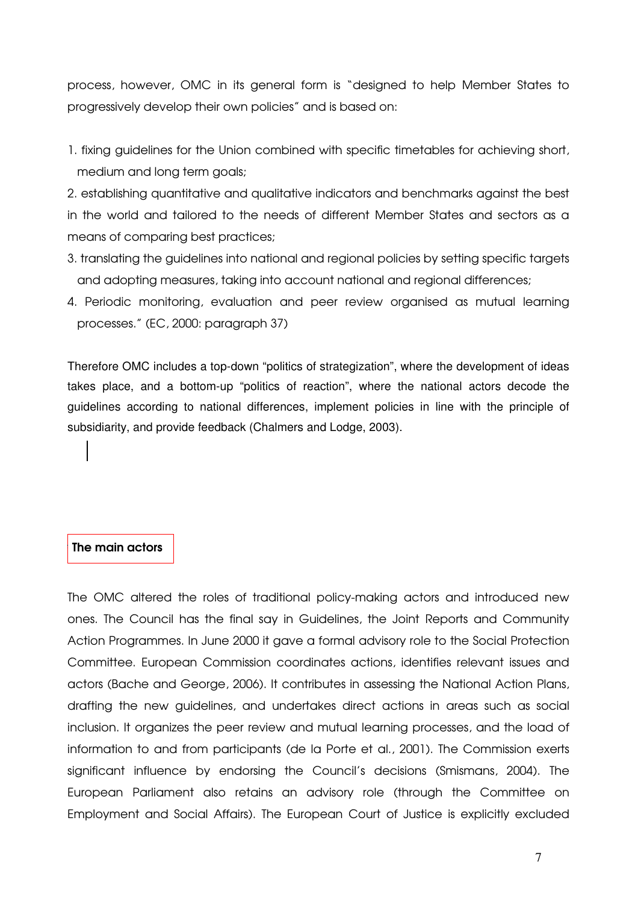process, however, OMC in its general form is "designed to help Member States to progressively develop their own policies" and is based on:

1. fixing guidelines for the Union combined with specific timetables for achieving short, medium and long term goals;

2. establishing quantitative and qualitative indicators and benchmarks against the best in the world and tailored to the needs of different Member States and sectors as a means of comparing best practices;

- 3. translating the guidelines into national and regional policies by setting specific targets and adopting measures, taking into account national and regional differences;
- 4. Periodic monitoring, evaluation and peer review organised as mutual learning processes." (EC, 2000: paragraph 37)

Therefore OMC includes a top-down "politics of strategization", where the development of ideas takes place, and a bottom-up "politics of reaction", where the national actors decode the guidelines according to national differences, implement policies in line with the principle of subsidiarity, and provide feedback (Chalmers and Lodge, 2003).

#### The main actors

The OMC altered the roles of traditional policy-making actors and introduced new ones. The Council has the final say in Guidelines, the Joint Reports and Community Action Programmes. In June 2000 it gave a formal advisory role to the Social Protection Committee. European Commission coordinates actions, identifies relevant issues and actors (Bache and George, 2006). It contributes in assessing the National Action Plans, drafting the new guidelines, and undertakes direct actions in areas such as social inclusion. It organizes the peer review and mutual learning processes, and the load of information to and from participants (de la Porte et al., 2001). The Commission exerts significant influence by endorsing the Council's decisions (Smismans, 2004). The European Parliament also retains an advisory role (through the Committee on Employment and Social Affairs). The European Court of Justice is explicitly excluded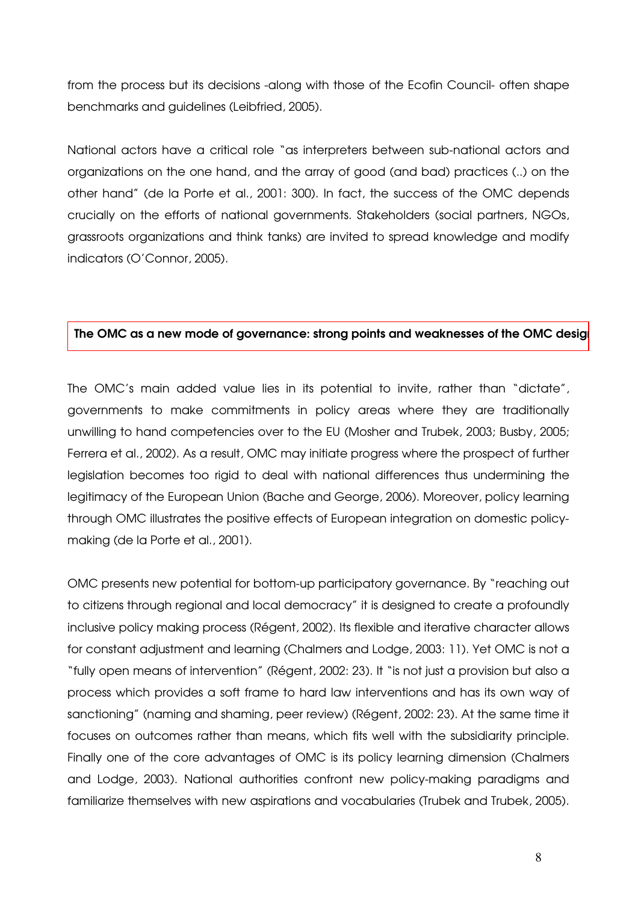from the process but its decisions -along with those of the Ecofin Council- often shape benchmarks and guidelines (Leibfried, 2005).

National actors have a critical role "as interpreters between sub-national actors and organizations on the one hand, and the array of good (and bad) practices (..) on the other hand" (de la Porte et al., 2001: 300). In fact, the success of the OMC depends crucially on the efforts of national governments. Stakeholders (social partners, NGOs, grassroots organizations and think tanks) are invited to spread knowledge and modify indicators (O'Connor, 2005).

#### The OMC as a new mode of governance: strong points and weaknesses of the OMC design

The OMC's main added value lies in its potential to invite, rather than "dictate", governments to make commitments in policy areas where they are traditionally unwilling to hand competencies over to the EU (Mosher and Trubek, 2003; Busby, 2005; Ferrera et al., 2002). As a result, OMC may initiate progress where the prospect of further legislation becomes too rigid to deal with national differences thus undermining the legitimacy of the European Union (Bache and George, 2006). Moreover, policy learning through OMC illustrates the positive effects of European integration on domestic policymaking (de la Porte et al., 2001).

OMC presents new potential for bottom-up participatory governance. By "reaching out to citizens through regional and local democracy" it is designed to create a profoundly inclusive policy making process (Régent, 2002). Its flexible and iterative character allows for constant adjustment and learning (Chalmers and Lodge, 2003: 11). Yet OMC is not a "fully open means of intervention" (Régent, 2002: 23). It "is not just a provision but also a process which provides a soft frame to hard law interventions and has its own way of sanctioning" (naming and shaming, peer review) (Régent, 2002: 23). At the same time it focuses on outcomes rather than means, which fits well with the subsidiarity principle. Finally one of the core advantages of OMC is its policy learning dimension (Chalmers and Lodge, 2003). National authorities confront new policy-making paradigms and familiarize themselves with new aspirations and vocabularies (Trubek and Trubek, 2005).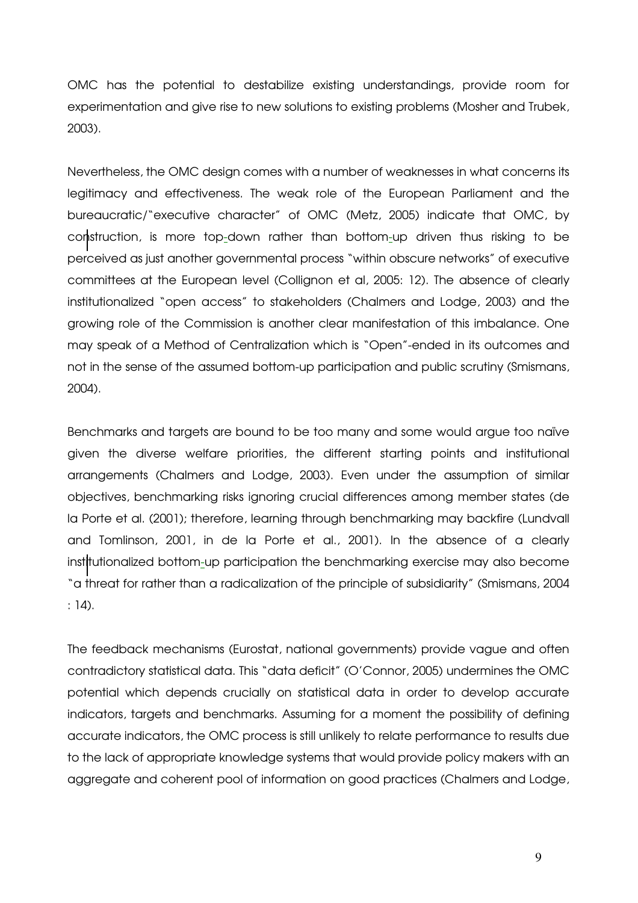OMC has the potential to destabilize existing understandings, provide room for experimentation and give rise to new solutions to existing problems (Mosher and Trubek, 2003).

Nevertheless, the OMC design comes with a number of weaknesses in what concerns its legitimacy and effectiveness. The weak role of the European Parliament and the bureaucratic/"executive character" of OMC (Metz, 2005) indicate that OMC, by construction, is more top-down rather than bottom-up driven thus risking to be perceived as just another governmental process "within obscure networks" of executive committees at the European level (Collignon et al, 2005: 12). The absence of clearly institutionalized "open access" to stakeholders (Chalmers and Lodge, 2003) and the growing role of the Commission is another clear manifestation of this imbalance. One may speak of a Method of Centralization which is "Open"-ended in its outcomes and not in the sense of the assumed bottom-up participation and public scrutiny (Smismans, 2004).

Benchmarks and targets are bound to be too many and some would argue too naïve given the diverse welfare priorities, the different starting points and institutional arrangements (Chalmers and Lodge, 2003). Even under the assumption of similar objectives, benchmarking risks ignoring crucial differences among member states (de la Porte et al. (2001); therefore, learning through benchmarking may backfire (Lundvall and Tomlinson, 2001, in de la Porte et al., 2001). In the absence of a clearly institutionalized bottom-up participation the benchmarking exercise may also become "a threat for rather than a radicalization of the principle of subsidiarity" (Smismans, 2004 : 14).

The feedback mechanisms (Eurostat, national governments) provide vague and often contradictory statistical data. This "data deficit" (O'Connor, 2005) undermines the OMC potential which depends crucially on statistical data in order to develop accurate indicators, targets and benchmarks. Assuming for a moment the possibility of defining accurate indicators, the OMC process is still unlikely to relate performance to results due to the lack of appropriate knowledge systems that would provide policy makers with an aggregate and coherent pool of information on good practices (Chalmers and Lodge,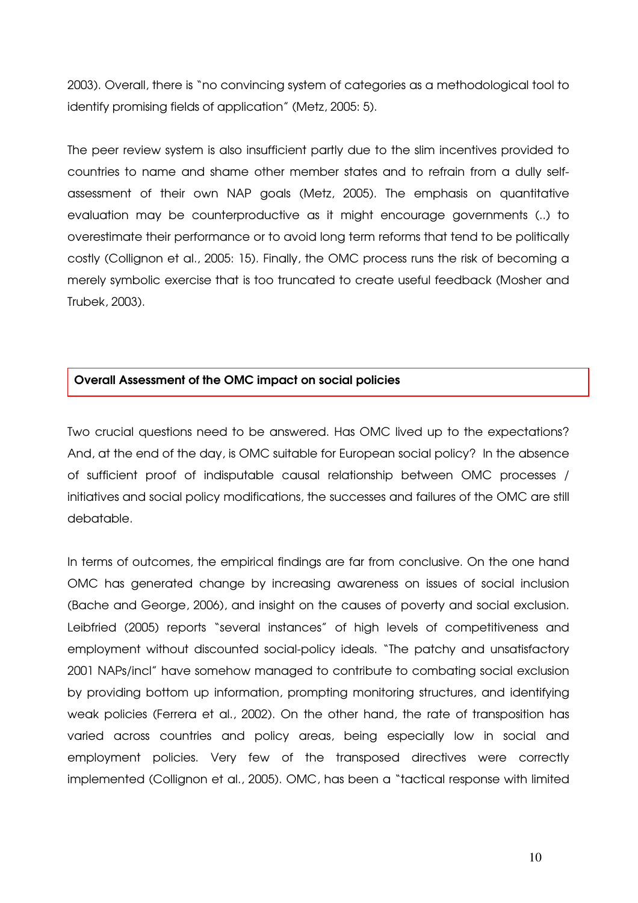2003). Overall, there is "no convincing system of categories as a methodological tool to identify promising fields of application" (Metz, 2005: 5).

The peer review system is also insufficient partly due to the slim incentives provided to countries to name and shame other member states and to refrain from a dully selfassessment of their own NAP goals (Metz, 2005). The emphasis on quantitative evaluation may be counterproductive as it might encourage governments (..) to overestimate their performance or to avoid long term reforms that tend to be politically costly (Collignon et al., 2005: 15). Finally, the OMC process runs the risk of becoming a merely symbolic exercise that is too truncated to create useful feedback (Mosher and Trubek, 2003).

## Overall Assessment of the OMC impact on social policies

Two crucial questions need to be answered. Has OMC lived up to the expectations? And, at the end of the day, is OMC suitable for European social policy? In the absence of sufficient proof of indisputable causal relationship between OMC processes / initiatives and social policy modifications, the successes and failures of the OMC are still debatable.

In terms of outcomes, the empirical findings are far from conclusive. On the one hand OMC has generated change by increasing awareness on issues of social inclusion (Bache and George, 2006), and insight on the causes of poverty and social exclusion. Leibfried (2005) reports "several instances" of high levels of competitiveness and employment without discounted social-policy ideals. "The patchy and unsatisfactory 2001 NAPs/incl" have somehow managed to contribute to combating social exclusion by providing bottom up information, prompting monitoring structures, and identifying weak policies (Ferrera et al., 2002). On the other hand, the rate of transposition has varied across countries and policy areas, being especially low in social and employment policies. Very few of the transposed directives were correctly implemented (Collignon et al., 2005). OMC, has been a "tactical response with limited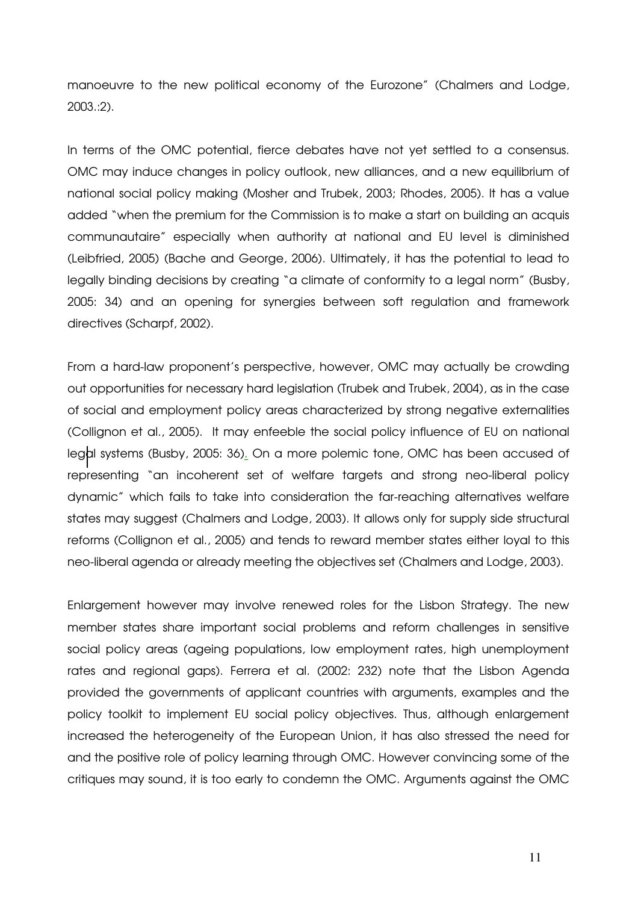manoeuvre to the new political economy of the Eurozone" (Chalmers and Lodge, 2003.:2).

In terms of the OMC potential, fierce debates have not yet settled to a consensus. OMC may induce changes in policy outlook, new alliances, and a new equilibrium of national social policy making (Mosher and Trubek, 2003; Rhodes, 2005). It has a value added "when the premium for the Commission is to make a start on building an acquis communautaire" especially when authority at national and EU level is diminished (Leibfried, 2005) (Bache and George, 2006). Ultimately, it has the potential to lead to legally binding decisions by creating "a climate of conformity to a legal norm" (Busby, 2005: 34) and an opening for synergies between soft regulation and framework directives (Scharpf, 2002).

From a hard-law proponent's perspective, however, OMC may actually be crowding out opportunities for necessary hard legislation (Trubek and Trubek, 2004), as in the case of social and employment policy areas characterized by strong negative externalities (Collignon et al., 2005). It may enfeeble the social policy influence of EU on national legal systems (Busby, 2005: 36). On a more polemic tone, OMC has been accused of representing "an incoherent set of welfare targets and strong neo-liberal policy dynamic" which fails to take into consideration the far-reaching alternatives welfare states may suggest (Chalmers and Lodge, 2003). It allows only for supply side structural reforms (Collignon et al., 2005) and tends to reward member states either loyal to this neo-liberal agenda or already meeting the objectives set (Chalmers and Lodge, 2003).

Enlargement however may involve renewed roles for the Lisbon Strategy. The new member states share important social problems and reform challenges in sensitive social policy areas (ageing populations, low employment rates, high unemployment rates and regional gaps). Ferrera et al. (2002: 232) note that the Lisbon Agenda provided the governments of applicant countries with arguments, examples and the policy toolkit to implement EU social policy objectives. Thus, although enlargement increased the heterogeneity of the European Union, it has also stressed the need for and the positive role of policy learning through OMC. However convincing some of the critiques may sound, it is too early to condemn the OMC. Arguments against the OMC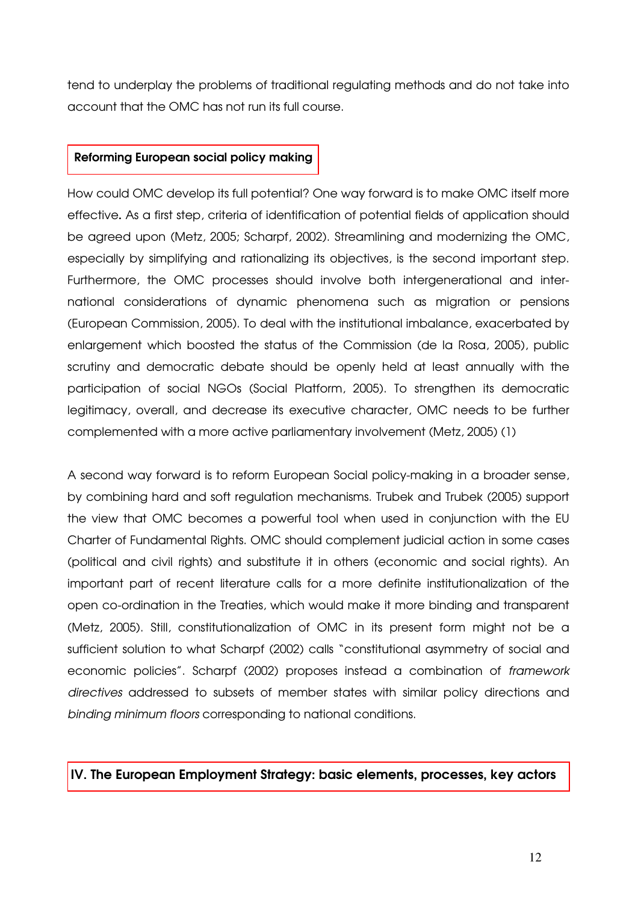tend to underplay the problems of traditional regulating methods and do not take into account that the OMC has not run its full course.

# Reforming European social policy making

How could OMC develop its full potential? One way forward is to make OMC itself more effective. As a first step, criteria of identification of potential fields of application should be agreed upon (Metz, 2005; Scharpf, 2002). Streamlining and modernizing the OMC, especially by simplifying and rationalizing its objectives, is the second important step. Furthermore, the OMC processes should involve both intergenerational and international considerations of dynamic phenomena such as migration or pensions (European Commission, 2005). To deal with the institutional imbalance, exacerbated by enlargement which boosted the status of the Commission (de la Rosa, 2005), public scrutiny and democratic debate should be openly held at least annually with the participation of social NGOs (Social Platform, 2005). To strengthen its democratic legitimacy, overall, and decrease its executive character, OMC needs to be further complemented with a more active parliamentary involvement (Metz, 2005) (1)

A second way forward is to reform European Social policy-making in a broader sense, by combining hard and soft regulation mechanisms. Trubek and Trubek (2005) support the view that OMC becomes a powerful tool when used in conjunction with the EU Charter of Fundamental Rights. OMC should complement judicial action in some cases (political and civil rights) and substitute it in others (economic and social rights). An important part of recent literature calls for a more definite institutionalization of the open co-ordination in the Treaties, which would make it more binding and transparent (Metz, 2005). Still, constitutionalization of OMC in its present form might not be a sufficient solution to what Scharpf (2002) calls "constitutional asymmetry of social and economic policies". Scharpf (2002) proposes instead a combination of framework directives addressed to subsets of member states with similar policy directions and binding minimum floors corresponding to national conditions.

# IV. The European Employment Strategy: basic elements, processes, key actors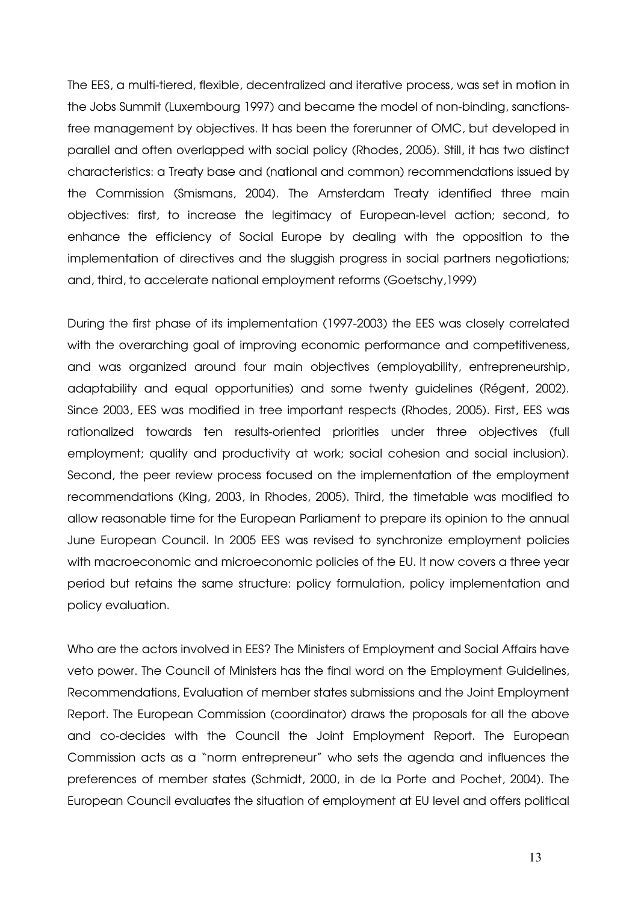The EES, a multi-tiered, flexible, decentralized and iterative process, was set in motion in the Jobs Summit (Luxembourg 1997) and became the model of non-binding, sanctionsfree management by objectives. It has been the forerunner of OMC, but developed in parallel and often overlapped with social policy (Rhodes, 2005). Still, it has two distinct characteristics: a Treaty base and (national and common) recommendations issued by the Commission (Smismans, 2004). The Amsterdam Treaty identified three main objectives: first, to increase the legitimacy of European-level action; second, to enhance the efficiency of Social Europe by dealing with the opposition to the implementation of directives and the sluggish progress in social partners negotiations; and, third, to accelerate national employment reforms (Goetschy,1999)

During the first phase of its implementation (1997-2003) the EES was closely correlated with the overarching goal of improving economic performance and competitiveness, and was organized around four main objectives (employability, entrepreneurship, adaptability and equal opportunities) and some twenty guidelines (Régent, 2002). Since 2003, EES was modified in tree important respects (Rhodes, 2005). First, EES was rationalized towards ten results-oriented priorities under three objectives (full employment; quality and productivity at work; social cohesion and social inclusion). Second, the peer review process focused on the implementation of the employment recommendations (King, 2003, in Rhodes, 2005). Third, the timetable was modified to allow reasonable time for the European Parliament to prepare its opinion to the annual June European Council. In 2005 EES was revised to synchronize employment policies with macroeconomic and microeconomic policies of the EU. It now covers a three year period but retains the same structure: policy formulation, policy implementation and policy evaluation.

Who are the actors involved in EES? The Ministers of Employment and Social Affairs have veto power. The Council of Ministers has the final word on the Employment Guidelines, Recommendations, Evaluation of member states submissions and the Joint Employment Report. The European Commission (coordinator) draws the proposals for all the above and co-decides with the Council the Joint Employment Report. The European Commission acts as a "norm entrepreneur" who sets the agenda and influences the preferences of member states (Schmidt, 2000, in de la Porte and Pochet, 2004). The European Council evaluates the situation of employment at EU level and offers political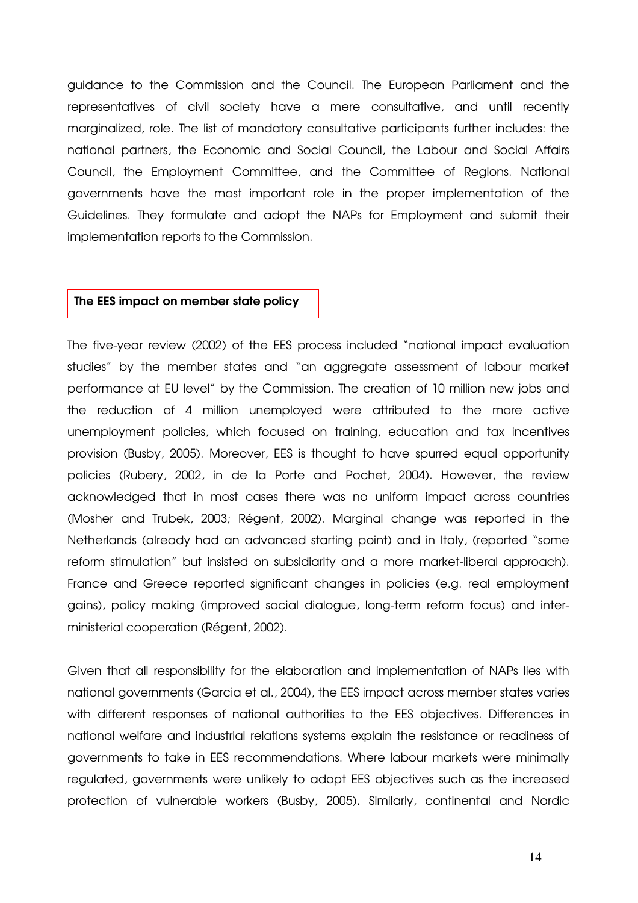guidance to the Commission and the Council. The European Parliament and the representatives of civil society have a mere consultative, and until recently marginalized, role. The list of mandatory consultative participants further includes: the national partners, the Economic and Social Council, the Labour and Social Affairs Council, the Employment Committee, and the Committee of Regions. National governments have the most important role in the proper implementation of the Guidelines. They formulate and adopt the NAPs for Employment and submit their implementation reports to the Commission.

#### The EES impact on member state policy

The five-year review (2002) of the EES process included "national impact evaluation studies" by the member states and "an aggregate assessment of labour market performance at EU level" by the Commission. The creation of 10 million new jobs and the reduction of 4 million unemployed were attributed to the more active unemployment policies, which focused on training, education and tax incentives provision (Busby, 2005). Moreover, EES is thought to have spurred equal opportunity policies (Rubery, 2002, in de la Porte and Pochet, 2004). However, the review acknowledged that in most cases there was no uniform impact across countries (Mosher and Trubek, 2003; Régent, 2002). Marginal change was reported in the Netherlands (already had an advanced starting point) and in Italy, (reported "some reform stimulation" but insisted on subsidiarity and a more market-liberal approach). France and Greece reported significant changes in policies (e.g. real employment gains), policy making (improved social dialogue, long-term reform focus) and interministerial cooperation (Régent, 2002).

Given that all responsibility for the elaboration and implementation of NAPs lies with national governments (Garcia et al., 2004), the EES impact across member states varies with different responses of national authorities to the EES objectives. Differences in national welfare and industrial relations systems explain the resistance or readiness of governments to take in EES recommendations. Where labour markets were minimally regulated, governments were unlikely to adopt EES objectives such as the increased protection of vulnerable workers (Busby, 2005). Similarly, continental and Nordic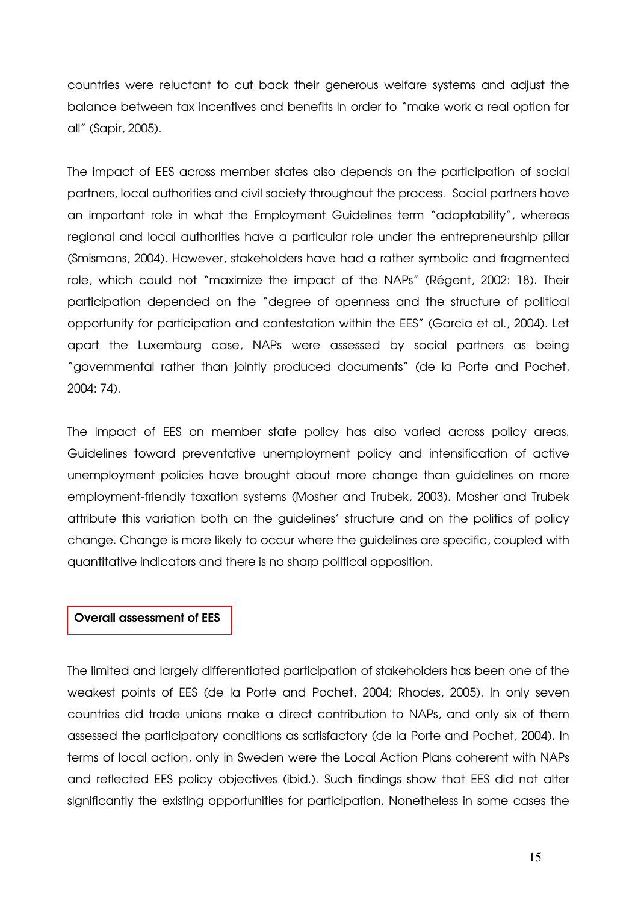countries were reluctant to cut back their generous welfare systems and adjust the balance between tax incentives and benefits in order to "make work a real option for all" (Sapir, 2005).

The impact of EES across member states also depends on the participation of social partners, local authorities and civil society throughout the process. Social partners have an important role in what the Employment Guidelines term "adaptability", whereas regional and local authorities have a particular role under the entrepreneurship pillar (Smismans, 2004). However, stakeholders have had a rather symbolic and fragmented role, which could not "maximize the impact of the NAPs" (Régent, 2002: 18). Their participation depended on the "degree of openness and the structure of political opportunity for participation and contestation within the EES" (Garcia et al., 2004). Let apart the Luxemburg case, NAPs were assessed by social partners as being "governmental rather than jointly produced documents" (de la Porte and Pochet, 2004: 74).

The impact of EES on member state policy has also varied across policy areas. Guidelines toward preventative unemployment policy and intensification of active unemployment policies have brought about more change than guidelines on more employment-friendly taxation systems (Mosher and Trubek, 2003). Mosher and Trubek attribute this variation both on the guidelines' structure and on the politics of policy change. Change is more likely to occur where the guidelines are specific, coupled with quantitative indicators and there is no sharp political opposition.

## Overall assessment of EES

The limited and largely differentiated participation of stakeholders has been one of the weakest points of EES (de la Porte and Pochet, 2004; Rhodes, 2005). In only seven countries did trade unions make a direct contribution to NAPs, and only six of them assessed the participatory conditions as satisfactory (de la Porte and Pochet, 2004). In terms of local action, only in Sweden were the Local Action Plans coherent with NAPs and reflected EES policy objectives (ibid.). Such findings show that EES did not alter significantly the existing opportunities for participation. Nonetheless in some cases the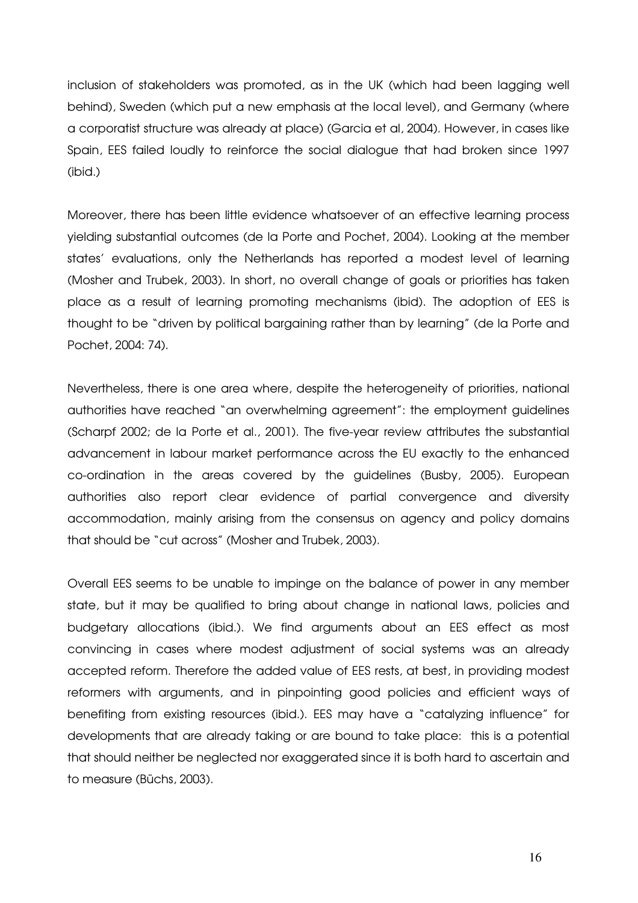inclusion of stakeholders was promoted, as in the UK (which had been lagging well behind), Sweden (which put a new emphasis at the local level), and Germany (where a corporatist structure was already at place) (Garcia et al, 2004). However, in cases like Spain, EES failed loudly to reinforce the social dialogue that had broken since 1997 (ibid.)

Moreover, there has been little evidence whatsoever of an effective learning process yielding substantial outcomes (de la Porte and Pochet, 2004). Looking at the member states' evaluations, only the Netherlands has reported a modest level of learning (Mosher and Trubek, 2003). In short, no overall change of goals or priorities has taken place as a result of learning promoting mechanisms (ibid). The adoption of EES is thought to be "driven by political bargaining rather than by learning" (de la Porte and Pochet, 2004: 74).

Nevertheless, there is one area where, despite the heterogeneity of priorities, national authorities have reached "an overwhelming agreement": the employment guidelines (Scharpf 2002; de la Porte et al., 2001). The five-year review attributes the substantial advancement in labour market performance across the EU exactly to the enhanced co-ordination in the areas covered by the guidelines (Busby, 2005). European authorities also report clear evidence of partial convergence and diversity accommodation, mainly arising from the consensus on agency and policy domains that should be "cut across" (Mosher and Trubek, 2003).

Overall EES seems to be unable to impinge on the balance of power in any member state, but it may be qualified to bring about change in national laws, policies and budgetary allocations (ibid.). We find arguments about an EES effect as most convincing in cases where modest adjustment of social systems was an already accepted reform. Therefore the added value of EES rests, at best, in providing modest reformers with arguments, and in pinpointing good policies and efficient ways of benefiting from existing resources (ibid.). EES may have a "catalyzing influence" for developments that are already taking or are bound to take place: this is a potential that should neither be neglected nor exaggerated since it is both hard to ascertain and to measure (Büchs, 2003).

16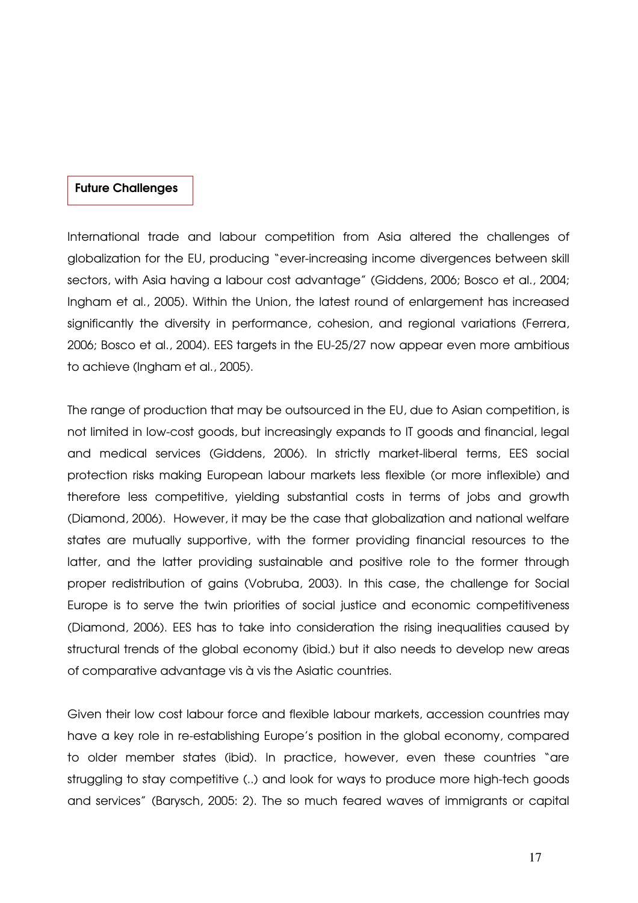# Future Challenges

International trade and labour competition from Asia altered the challenges of globalization for the EU, producing "ever-increasing income divergences between skill sectors, with Asia having a labour cost advantage" (Giddens, 2006; Bosco et al., 2004; Ingham et al., 2005). Within the Union, the latest round of enlargement has increased significantly the diversity in performance, cohesion, and regional variations (Ferrera, 2006; Bosco et al., 2004). EES targets in the EU-25/27 now appear even more ambitious to achieve (Ingham et al., 2005).

The range of production that may be outsourced in the EU, due to Asian competition, is not limited in low-cost goods, but increasingly expands to IT goods and financial, legal and medical services (Giddens, 2006). In strictly market-liberal terms, EES social protection risks making European labour markets less flexible (or more inflexible) and therefore less competitive, yielding substantial costs in terms of jobs and growth (Diamond, 2006). However, it may be the case that globalization and national welfare states are mutually supportive, with the former providing financial resources to the latter, and the latter providing sustainable and positive role to the former through proper redistribution of gains (Vobruba, 2003). In this case, the challenge for Social Europe is to serve the twin priorities of social justice and economic competitiveness (Diamond, 2006). EES has to take into consideration the rising inequalities caused by structural trends of the global economy (ibid.) but it also needs to develop new areas of comparative advantage vis à vis the Asiatic countries.

Given their low cost labour force and flexible labour markets, accession countries may have a key role in re-establishing Europe's position in the global economy, compared to older member states (ibid). In practice, however, even these countries "are struggling to stay competitive (..) and look for ways to produce more high-tech goods and services" (Barysch, 2005: 2). The so much feared waves of immigrants or capital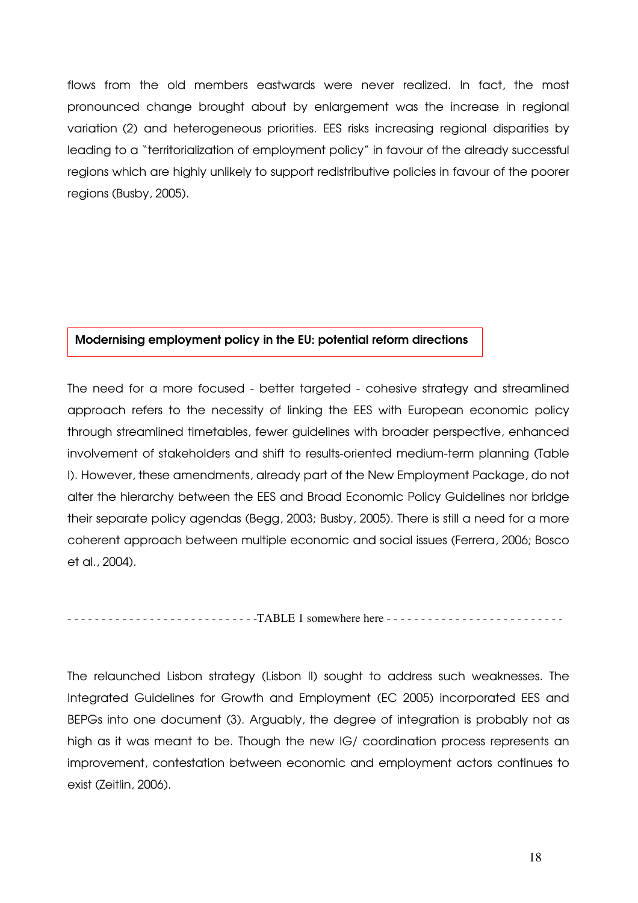flows from the old members eastwards were never realized. In fact, the most pronounced change brought about by enlargement was the increase in regional variation (2) and heterogeneous priorities. EES risks increasing regional disparities by leading to a "territorialization of employment policy" in favour of the already successful regions which are highly unlikely to support redistributive policies in favour of the poorer regions (Busby, 2005).

#### Modernising employment policy in the EU: potential reform directions

The need for a more focused - better targeted - cohesive strategy and streamlined approach refers to the necessity of linking the EES with European economic policy through streamlined timetables, fewer guidelines with broader perspective, enhanced involvement of stakeholders and shift to results-oriented medium-term planning (Table I). However, these amendments, already part of the New Employment Package, do not alter the hierarchy between the EES and Broad Economic Policy Guidelines nor bridge their separate policy agendas (Begg, 2003; Busby, 2005). There is still a need for a more coherent approach between multiple economic and social issues (Ferrera, 2006; Bosco et al., 2004).

- - - - - - - - - - - - - - - - - - - - - - - - - - - -TABLE 1 somewhere here - - - - - - - - - - - - - - - - - - - - - - - - - -

The relaunched Lisbon strategy (Lisbon II) sought to address such weaknesses. The Integrated Guidelines for Growth and Employment (EC 2005) incorporated EES and BEPGs into one document (3). Arguably, the degree of integration is probably not as high as it was meant to be. Though the new IG/ coordination process represents an improvement, contestation between economic and employment actors continues to exist (Zeitlin, 2006).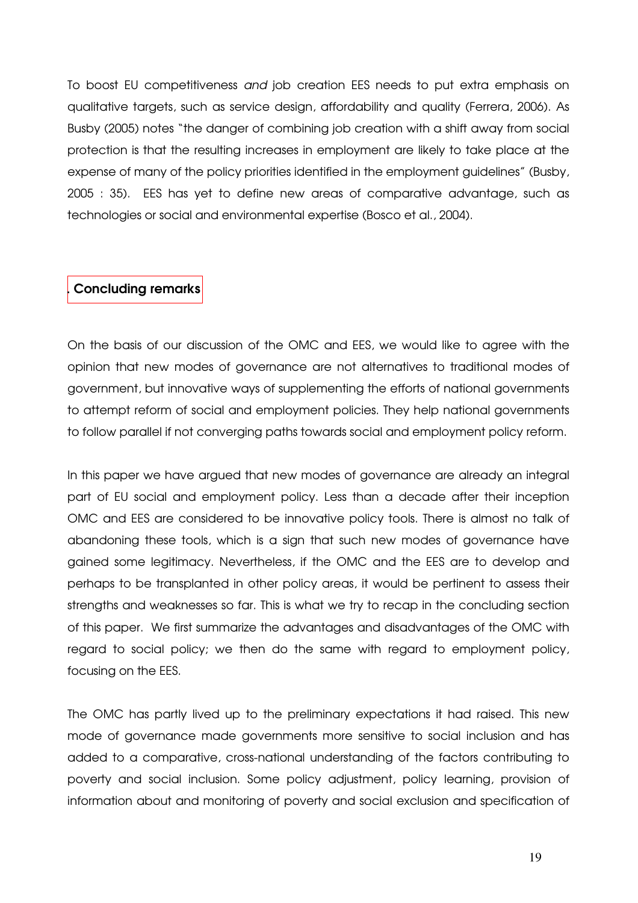To boost EU competitiveness and job creation EES needs to put extra emphasis on qualitative targets, such as service design, affordability and quality (Ferrera, 2006). As Busby (2005) notes "the danger of combining job creation with a shift away from social protection is that the resulting increases in employment are likely to take place at the expense of many of the policy priorities identified in the employment guidelines" (Busby, 2005 : 35). EES has yet to define new areas of comparative advantage, such as technologies or social and environmental expertise (Bosco et al., 2004).

## Concluding remarks

On the basis of our discussion of the OMC and EES, we would like to agree with the opinion that new modes of governance are not alternatives to traditional modes of government, but innovative ways of supplementing the efforts of national governments to attempt reform of social and employment policies. They help national governments to follow parallel if not converging paths towards social and employment policy reform.

In this paper we have argued that new modes of governance are already an integral part of EU social and employment policy. Less than a decade after their inception OMC and EES are considered to be innovative policy tools. There is almost no talk of abandoning these tools, which is a sign that such new modes of governance have gained some legitimacy. Nevertheless, if the OMC and the EES are to develop and perhaps to be transplanted in other policy areas, it would be pertinent to assess their strengths and weaknesses so far. This is what we try to recap in the concluding section of this paper. We first summarize the advantages and disadvantages of the OMC with regard to social policy; we then do the same with regard to employment policy, focusing on the EES.

The OMC has partly lived up to the preliminary expectations it had raised. This new mode of governance made governments more sensitive to social inclusion and has added to a comparative, cross-national understanding of the factors contributing to poverty and social inclusion. Some policy adjustment, policy learning, provision of information about and monitoring of poverty and social exclusion and specification of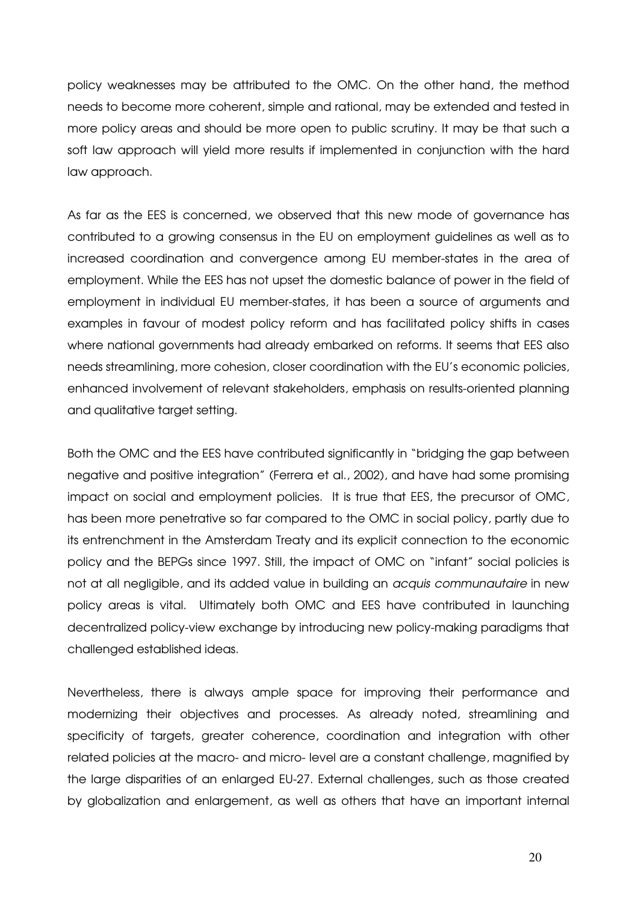policy weaknesses may be attributed to the OMC. On the other hand, the method needs to become more coherent, simple and rational, may be extended and tested in more policy areas and should be more open to public scrutiny. It may be that such a soft law approach will yield more results if implemented in conjunction with the hard law approach.

As far as the EES is concerned, we observed that this new mode of governance has contributed to a growing consensus in the EU on employment guidelines as well as to increased coordination and convergence among EU member-states in the area of employment. While the EES has not upset the domestic balance of power in the field of employment in individual EU member-states, it has been a source of arguments and examples in favour of modest policy reform and has facilitated policy shifts in cases where national governments had already embarked on reforms. It seems that EES also needs streamlining, more cohesion, closer coordination with the EU's economic policies, enhanced involvement of relevant stakeholders, emphasis on results-oriented planning and qualitative target setting.

Both the OMC and the EES have contributed significantly in "bridging the gap between negative and positive integration" (Ferrera et al., 2002), and have had some promising impact on social and employment policies. It is true that EES, the precursor of OMC, has been more penetrative so far compared to the OMC in social policy, partly due to its entrenchment in the Amsterdam Treaty and its explicit connection to the economic policy and the BEPGs since 1997. Still, the impact of OMC on "infant" social policies is not at all negligible, and its added value in building an acquis communautaire in new policy areas is vital. Ultimately both OMC and EES have contributed in launching decentralized policy-view exchange by introducing new policy-making paradigms that challenged established ideas.

Nevertheless, there is always ample space for improving their performance and modernizing their objectives and processes. As already noted, streamlining and specificity of targets, greater coherence, coordination and integration with other related policies at the macro- and micro- level are a constant challenge, magnified by the large disparities of an enlarged EU-27. External challenges, such as those created by globalization and enlargement, as well as others that have an important internal

20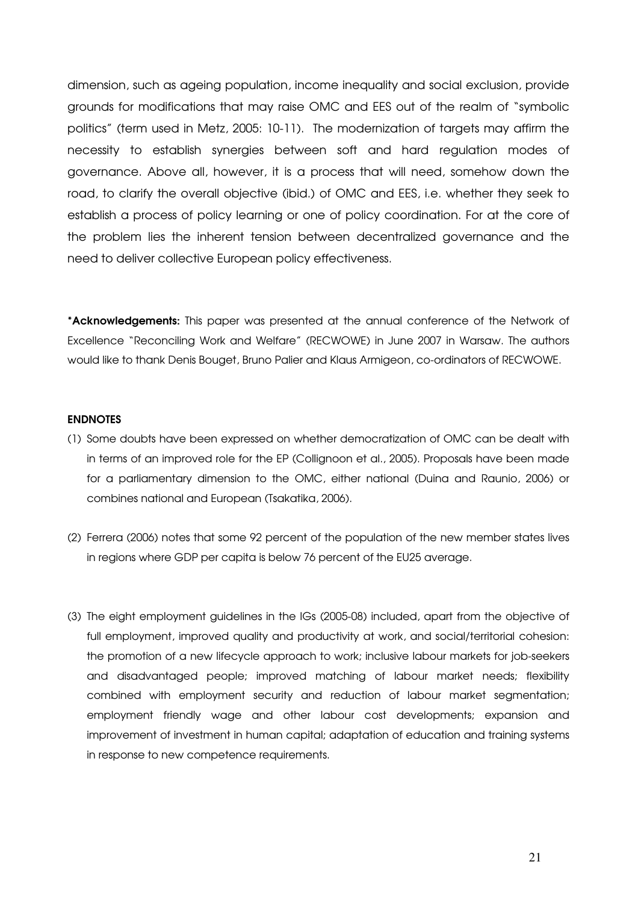dimension, such as ageing population, income inequality and social exclusion, provide grounds for modifications that may raise OMC and EES out of the realm of "symbolic politics" (term used in Metz, 2005: 10-11). The modernization of targets may affirm the necessity to establish synergies between soft and hard regulation modes of governance. Above all, however, it is a process that will need, somehow down the road, to clarify the overall objective (ibid.) of OMC and EES, i.e. whether they seek to establish a process of policy learning or one of policy coordination. For at the core of the problem lies the inherent tension between decentralized governance and the need to deliver collective European policy effectiveness.

\*Acknowledgements: This paper was presented at the annual conference of the Network of Excellence "Reconciling Work and Welfare" (RECWOWE) in June 2007 in Warsaw. The authors would like to thank Denis Bouget, Bruno Palier and Klaus Armigeon, co-ordinators of RECWOWE.

#### **ENDNOTES**

- (1) Some doubts have been expressed on whether democratization of OMC can be dealt with in terms of an improved role for the EP (Collignoon et al., 2005). Proposals have been made for a parliamentary dimension to the OMC, either national (Duina and Raunio, 2006) or combines national and European (Tsakatika, 2006).
- (2) Ferrera (2006) notes that some 92 percent of the population of the new member states lives in regions where GDP per capita is below 76 percent of the EU25 average.
- (3) The eight employment guidelines in the IGs (2005-08) included, apart from the objective of full employment, improved quality and productivity at work, and social/territorial cohesion: the promotion of a new lifecycle approach to work; inclusive labour markets for job-seekers and disadvantaged people; improved matching of labour market needs; flexibility combined with employment security and reduction of labour market segmentation; employment friendly wage and other labour cost developments; expansion and improvement of investment in human capital; adaptation of education and training systems in response to new competence requirements.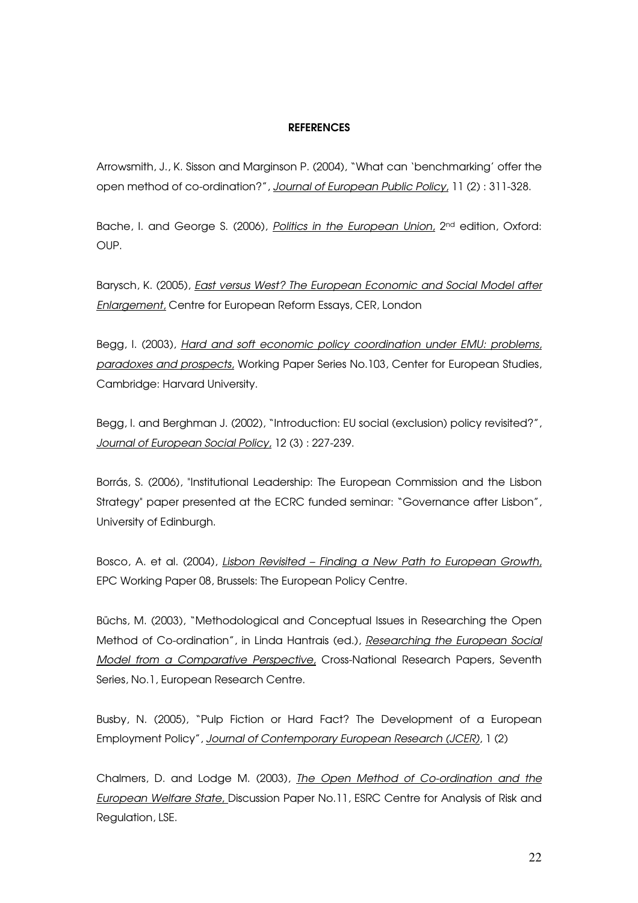#### **REFERENCES**

Arrowsmith, J., K. Sisson and Marginson P. (2004), "What can 'benchmarking' offer the open method of co-ordination?", Journal of European Public Policy, 11 (2) : 311-328.

Bache, I. and George S. (2006), Politics in the European Union, 2<sup>nd</sup> edition, Oxford: OUP.

Barysch, K. (2005), *East versus West? The European Economic and Social Model after* Enlargement, Centre for European Reform Essays, CER, London

Begg, I. (2003), Hard and soft economic policy coordination under EMU: problems, paradoxes and prospects, Working Paper Series No.103, Center for European Studies, Cambridge: Harvard University.

Begg, I. and Berghman J. (2002), "Introduction: EU social (exclusion) policy revisited?", Journal of European Social Policy, 12 (3) : 227-239.

Borrás, S. (2006), "Institutional Leadership: The European Commission and the Lisbon Strategy" paper presented at the ECRC funded seminar: "Governance after Lisbon", University of Edinburgh.

Bosco, A. et al. (2004), Lisbon Revisited – Finding a New Path to European Growth, EPC Working Paper 08, Brussels: The European Policy Centre.

Büchs, M. (2003), "Methodological and Conceptual Issues in Researching the Open Method of Co-ordination", in Linda Hantrais (ed.), Researching the European Social Model from a Comparative Perspective, Cross-National Research Papers, Seventh Series, No.1, European Research Centre.

Busby, N. (2005), "Pulp Fiction or Hard Fact? The Development of a European Employment Policy", Journal of Contemporary European Research (JCER), 1 (2)

Chalmers, D. and Lodge M. (2003), The Open Method of Co-ordination and the European Welfare State, Discussion Paper No.11, ESRC Centre for Analysis of Risk and Regulation, LSE.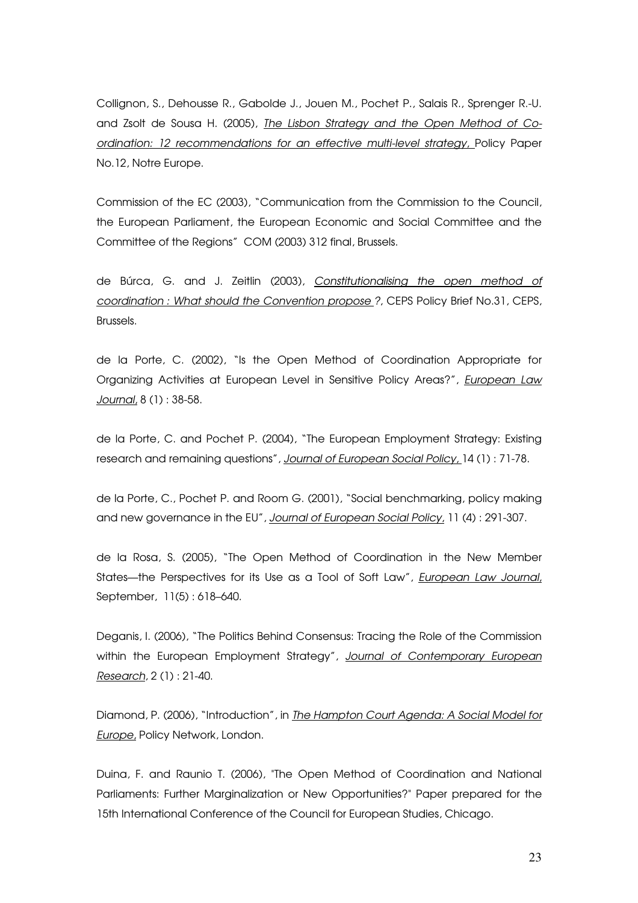Collignon, S., Dehousse R., Gabolde J., Jouen M., Pochet P., Salais R., Sprenger R.-U. and Zsolt de Sousa H. (2005), The Lisbon Strategy and the Open Method of Coordination: 12 recommendations for an effective multi-level strategy, Policy Paper No.12, Notre Europe.

Commission of the EC (2003), "Communication from the Commission to the Council, the European Parliament, the European Economic and Social Committee and the Committee of the Regions" COM (2003) 312 final, Brussels.

de Búrca, G. and J. Zeitlin (2003), Constitutionalising the open method of coordination : What should the Convention propose ?, CEPS Policy Brief No.31, CEPS, Brussels.

de la Porte, C. (2002), "Is the Open Method of Coordination Appropriate for Organizing Activities at European Level in Sensitive Policy Areas?", European Law Journal, 8 (1) : 38-58.

de la Porte, C. and Pochet P. (2004), "The European Employment Strategy: Existing research and remaining questions", Journal of European Social Policy, 14 (1) : 71-78.

de la Porte, C., Pochet P. and Room G. (2001), "Social benchmarking, policy making and new governance in the EU", Journal of European Social Policy, 11 (4): 291-307.

de la Rosa, S. (2005), "The Open Method of Coordination in the New Member States—the Perspectives for its Use as a Tool of Soft Law", *European Law Journal*, September, 11(5) : 618–640.

Deganis, I. (2006), "The Politics Behind Consensus: Tracing the Role of the Commission within the European Employment Strategy", Journal of Contemporary European Research, 2 (1) : 21-40.

Diamond, P. (2006), "Introduction", in The Hampton Court Agenda: A Social Model for Europe, Policy Network, London.

Duina, F. and Raunio T. (2006), "The Open Method of Coordination and National Parliaments: Further Marginalization or New Opportunities?" Paper prepared for the 15th International Conference of the Council for European Studies, Chicago.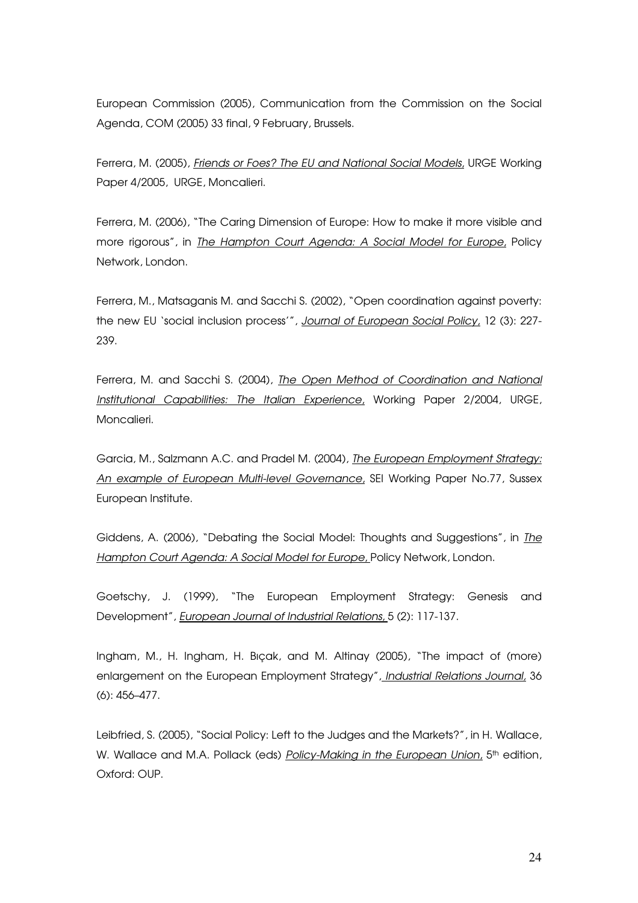European Commission (2005), Communication from the Commission on the Social Agenda, COM (2005) 33 final, 9 February, Brussels.

Ferrera, M. (2005), Friends or Foes? The EU and National Social Models, URGE Working Paper 4/2005, URGE, Moncalieri.

Ferrera, M. (2006), "The Caring Dimension of Europe: How to make it more visible and more rigorous", in The Hampton Court Agenda: A Social Model for Europe, Policy Network, London.

Ferrera, M., Matsaganis M. and Sacchi S. (2002), "Open coordination against poverty: the new EU 'social inclusion process'", Journal of European Social Policy, 12 (3): 227-239.

Ferrera, M. and Sacchi S. (2004), The Open Method of Coordination and National Institutional Capabilities: The Italian Experience, Working Paper 2/2004, URGE, Moncalieri.

Garcia, M., Salzmann A.C. and Pradel M. (2004), The European Employment Strategy: An example of European Multi-level Governance, SEI Working Paper No.77, Sussex European Institute.

Giddens, A. (2006), "Debating the Social Model: Thoughts and Suggestions", in The Hampton Court Agenda: A Social Model for Europe, Policy Network, London.

Goetschy, J. (1999), "The European Employment Strategy: Genesis and Development", *European Journal of Industrial Relations*, 5 (2): 117-137.

Ingham, M., H. Ingham, H. Bıçak, and M. Altinay (2005), "The impact of (more) enlargement on the European Employment Strategy", Industrial Relations Journal, 36 (6): 456–477.

Leibfried, S. (2005), "Social Policy: Left to the Judges and the Markets?", in H. Wallace, W. Wallace and M.A. Pollack (eds) Policy-Making in the European Union, 5<sup>th</sup> edition, Oxford: OUP.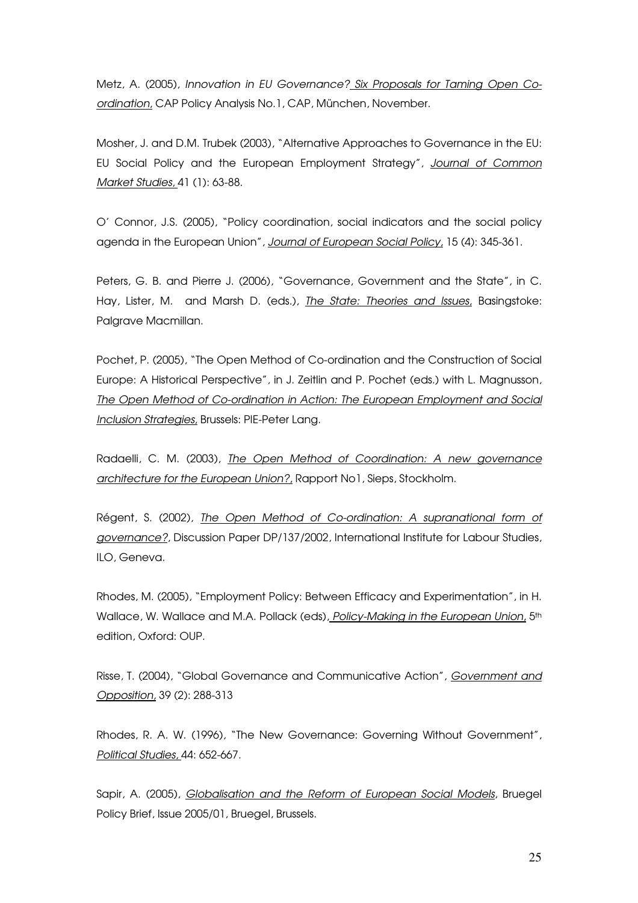Metz, A. (2005), Innovation in EU Governance? Six Proposals for Taming Open Coordination, CAP Policy Analysis No.1, CAP, München, November.

Mosher, J. and D.M. Trubek (2003), "Alternative Approaches to Governance in the EU: EU Social Policy and the European Employment Strategy", Journal of Common Market Studies, 41 (1): 63-88.

O' Connor, J.S. (2005), "Policy coordination, social indicators and the social policy agenda in the European Union", Journal of European Social Policy, 15 (4): 345-361.

Peters, G. B. and Pierre J. (2006), "Governance, Government and the State", in C. Hay, Lister, M. and Marsh D. (eds.), The State: Theories and Issues, Basingstoke: Palgrave Macmillan.

Pochet, P. (2005), "The Open Method of Co-ordination and the Construction of Social Europe: A Historical Perspective", in J. Zeitlin and P. Pochet (eds.) with L. Magnusson, The Open Method of Co-ordination in Action: The European Employment and Social Inclusion Strategies, Brussels: PIE-Peter Lang.

Radaelli, C. M. (2003), The Open Method of Coordination: A new governance architecture for the European Union?, Rapport No1, Sieps, Stockholm.

Régent, S. (2002), *The Open Method of Co-ordination: A supranational form of* governance?, Discussion Paper DP/137/2002, International Institute for Labour Studies, ILO, Geneva.

Rhodes, M. (2005), "Employment Policy: Between Efficacy and Experimentation", in H. Wallace, W. Wallace and M.A. Pollack (eds), Policy-Making in the European Union, 5<sup>th</sup> edition, Oxford: OUP.

Risse, T. (2004), "Global Governance and Communicative Action", Government and Opposition, 39 (2): 288-313

Rhodes, R. A. W. (1996), "The New Governance: Governing Without Government", Political Studies, 44: 652-667.

Sapir, A. (2005), Globalisation and the Reform of European Social Models, Bruegel Policy Brief, Issue 2005/01, Bruegel, Brussels.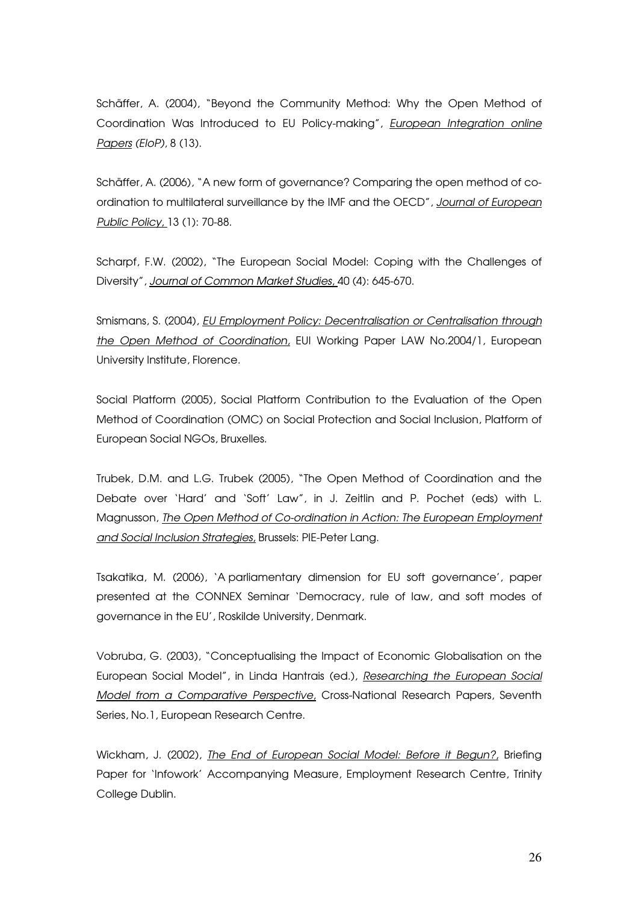Schäffer, A. (2004), "Beyond the Community Method: Why the Open Method of Coordination Was Introduced to EU Policy-making", European Integration online Papers (EIoP), 8 (13).

Schäffer, A. (2006), "A new form of governance? Comparing the open method of coordination to multilateral surveillance by the IMF and the OECD", Journal of European Public Policy, 13 (1): 70-88.

Scharpf, F.W. (2002), "The European Social Model: Coping with the Challenges of Diversity", Journal of Common Market Studies, 40 (4): 645-670.

Smismans, S. (2004), EU Employment Policy: Decentralisation or Centralisation through the Open Method of Coordination, EUI Working Paper LAW No.2004/1, European University Institute, Florence.

Social Platform (2005), Social Platform Contribution to the Evaluation of the Open Method of Coordination (OMC) on Social Protection and Social Inclusion, Platform of European Social NGOs, Bruxelles.

Trubek, D.M. and L.G. Trubek (2005), "The Open Method of Coordination and the Debate over 'Hard' and 'Soft' Law", in J. Zeitlin and P. Pochet (eds) with L. Magnusson, The Open Method of Co-ordination in Action: The European Employment and Social Inclusion Strategies, Brussels: PIE-Peter Lang.

Tsakatika, M. (2006), 'A parliamentary dimension for EU soft governance', paper presented at the CONNEX Seminar 'Democracy, rule of law, and soft modes of governance in the EU', Roskilde University, Denmark.

Vobruba, G. (2003), "Conceptualising the Impact of Economic Globalisation on the European Social Model", in Linda Hantrais (ed.), Researching the European Social Model from a Comparative Perspective, Cross-National Research Papers, Seventh Series, No.1, European Research Centre.

Wickham, J. (2002), The End of European Social Model: Before it Begun?, Briefing Paper for 'Infowork' Accompanying Measure, Employment Research Centre, Trinity College Dublin.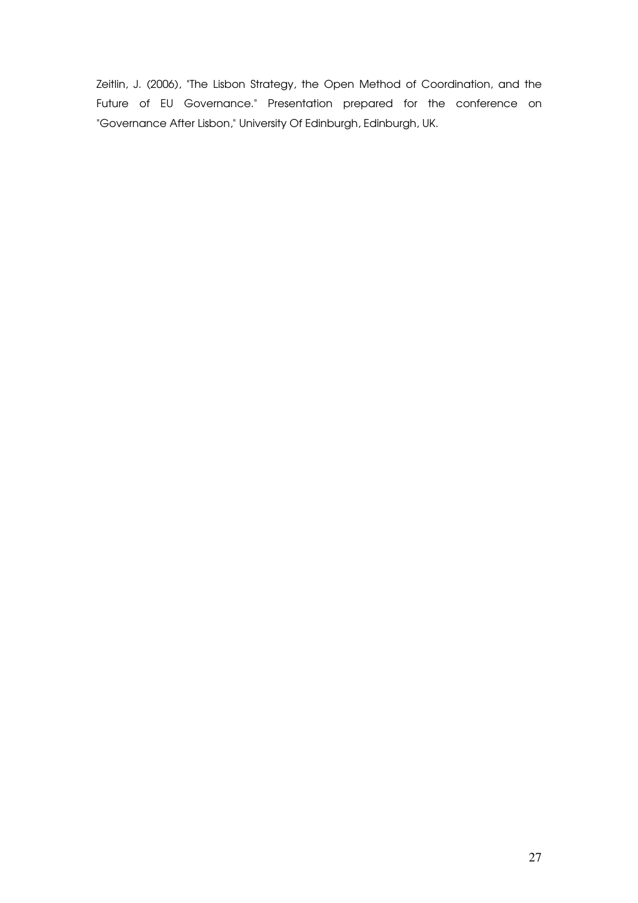Zeitlin, J. (2006), "The Lisbon Strategy, the Open Method of Coordination, and the Future of EU Governance." Presentation prepared for the conference on "Governance After Lisbon," University Of Edinburgh, Edinburgh, UK.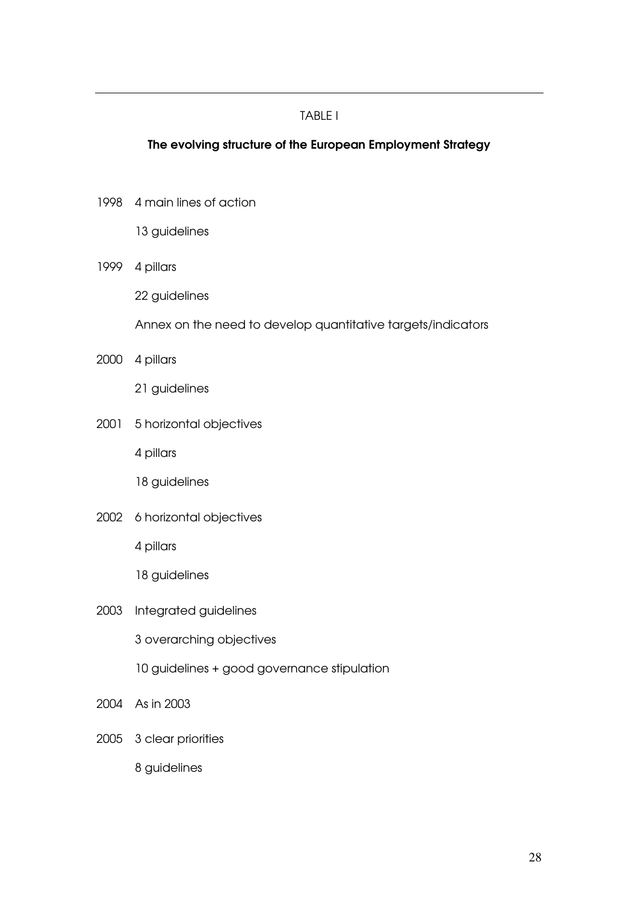# TABLE I

# The evolving structure of the European Employment Strategy

1998 4 main lines of action

13 guidelines

1999 4 pillars

22 guidelines

Annex on the need to develop quantitative targets/indicators

2000 4 pillars

21 guidelines

2001 5 horizontal objectives

4 pillars

18 guidelines

2002 6 horizontal objectives

4 pillars

18 guidelines

2003 Integrated guidelines

3 overarching objectives

10 guidelines + good governance stipulation

- 2004 As in 2003
- 2005 3 clear priorities

8 guidelines